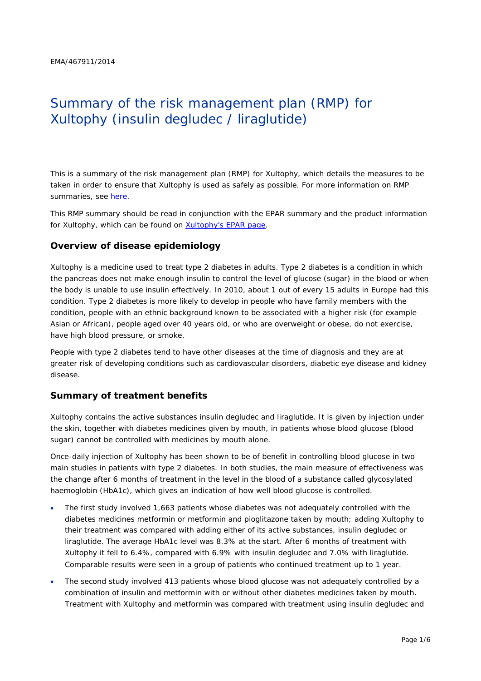# Summary of the risk management plan (RMP) for Xultophy (insulin degludec / liraglutide)

This is a summary of the risk management plan (RMP) for Xultophy, which details the measures to be taken in order to ensure that Xultophy is used as safely as possible. For more information on RMP summaries, see [here.](http://www.ema.europa.eu/docs/en_GB/document_library/Other/2014/05/WC500166101.pdf)

This RMP summary should be read in conjunction with the EPAR summary and the product information for Xultophy, which can be found on [Xultophy's EPAR page.](http://www.ema.europa.eu/ema/index.jsp?curl=/pages/medicines/human/medicines/002647/human_med_001802.jsp)

#### **Overview of disease epidemiology**

Xultophy is a medicine used to treat type 2 diabetes in adults. Type 2 diabetes is a condition in which the pancreas does not make enough insulin to control the level of glucose (sugar) in the blood or when the body is unable to use insulin effectively. In 2010, about 1 out of every 15 adults in Europe had this condition. Type 2 diabetes is more likely to develop in people who have family members with the condition, people with an ethnic background known to be associated with a higher risk (for example Asian or African), people aged over 40 years old, or who are overweight or obese, do not exercise, have high blood pressure, or smoke.

People with type 2 diabetes tend to have other diseases at the time of diagnosis and they are at greater risk of developing conditions such as cardiovascular disorders, diabetic eye disease and kidney disease.

#### **Summary of treatment benefits**

Xultophy contains the active substances insulin degludec and liraglutide. It is given by injection under the skin, together with diabetes medicines given by mouth, in patients whose blood glucose (blood sugar) cannot be controlled with medicines by mouth alone.

Once-daily injection of Xultophy has been shown to be of benefit in controlling blood glucose in two main studies in patients with type 2 diabetes. In both studies, the main measure of effectiveness was the change after 6 months of treatment in the level in the blood of a substance called glycosylated haemoglobin (HbA1c), which gives an indication of how well blood glucose is controlled.

- The first study involved 1,663 patients whose diabetes was not adequately controlled with the diabetes medicines metformin or metformin and pioglitazone taken by mouth; adding Xultophy to their treatment was compared with adding either of its active substances, insulin degludec or liraglutide. The average HbA1c level was 8.3% at the start. After 6 months of treatment with Xultophy it fell to 6.4%, compared with 6.9% with insulin degludec and 7.0% with liraglutide. Comparable results were seen in a group of patients who continued treatment up to 1 year.
- The second study involved 413 patients whose blood glucose was not adequately controlled by a combination of insulin and metformin with or without other diabetes medicines taken by mouth. Treatment with Xultophy and metformin was compared with treatment using insulin degludec and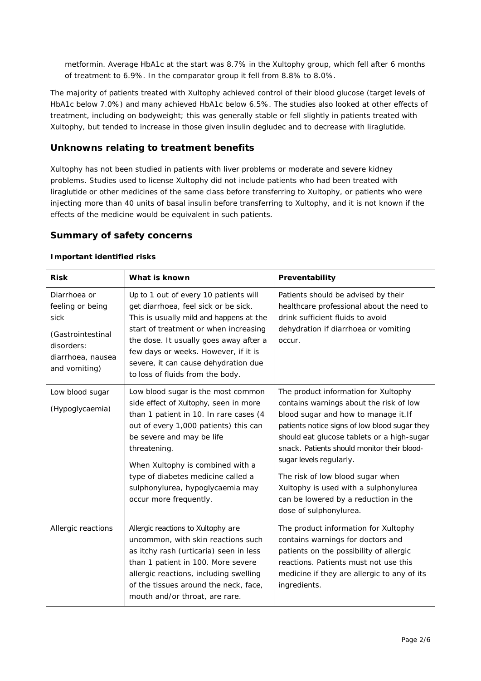metformin. Average HbA1c at the start was 8.7% in the Xultophy group, which fell after 6 months of treatment to 6.9%. In the comparator group it fell from 8.8% to 8.0%.

The majority of patients treated with Xultophy achieved control of their blood glucose (target levels of HbA1c below 7.0%) and many achieved HbA1c below 6.5%. The studies also looked at other effects of treatment, including on bodyweight; this was generally stable or fell slightly in patients treated with Xultophy, but tended to increase in those given insulin degludec and to decrease with liraglutide.

## **Unknowns relating to treatment benefits**

Xultophy has not been studied in patients with liver problems or moderate and severe kidney problems. Studies used to license Xultophy did not include patients who had been treated with liraglutide or other medicines of the same class before transferring to Xultophy, or patients who were injecting more than 40 units of basal insulin before transferring to Xultophy, and it is not known if the effects of the medicine would be equivalent in such patients.

## **Summary of safety concerns**

#### *Important identified risks*

| <b>Risk</b>                                                                                                       | What is known                                                                                                                                                                                                                                                                                                                                       | Preventability                                                                                                                                                                                                                                                                                                                                                                                                                                  |
|-------------------------------------------------------------------------------------------------------------------|-----------------------------------------------------------------------------------------------------------------------------------------------------------------------------------------------------------------------------------------------------------------------------------------------------------------------------------------------------|-------------------------------------------------------------------------------------------------------------------------------------------------------------------------------------------------------------------------------------------------------------------------------------------------------------------------------------------------------------------------------------------------------------------------------------------------|
| Diarrhoea or<br>feeling or being<br>sick<br>(Gastrointestinal<br>disorders:<br>diarrhoea, nausea<br>and vomiting) | Up to 1 out of every 10 patients will<br>get diarrhoea, feel sick or be sick.<br>This is usually mild and happens at the<br>start of treatment or when increasing<br>the dose. It usually goes away after a<br>few days or weeks. However, if it is<br>severe, it can cause dehydration due<br>to loss of fluids from the body.                     | Patients should be advised by their<br>healthcare professional about the need to<br>drink sufficient fluids to avoid<br>dehydration if diarrhoea or vomiting<br>occur.                                                                                                                                                                                                                                                                          |
| Low blood sugar<br>(Hypoglycaemia)                                                                                | Low blood sugar is the most common<br>side effect of Xultophy, seen in more<br>than 1 patient in 10. In rare cases (4<br>out of every 1,000 patients) this can<br>be severe and may be life<br>threatening.<br>When Xultophy is combined with a<br>type of diabetes medicine called a<br>sulphonylurea, hypoglycaemia may<br>occur more frequently. | The product information for Xultophy<br>contains warnings about the risk of low<br>blood sugar and how to manage it. If<br>patients notice signs of low blood sugar they<br>should eat glucose tablets or a high-sugar<br>snack. Patients should monitor their blood-<br>sugar levels regularly.<br>The risk of low blood sugar when<br>Xultophy is used with a sulphonylurea<br>can be lowered by a reduction in the<br>dose of sulphonylurea. |
| Allergic reactions                                                                                                | Allergic reactions to Xultophy are<br>uncommon, with skin reactions such<br>as itchy rash (urticaria) seen in less<br>than 1 patient in 100. More severe<br>allergic reactions, including swelling<br>of the tissues around the neck, face,<br>mouth and/or throat, are rare.                                                                       | The product information for Xultophy<br>contains warnings for doctors and<br>patients on the possibility of allergic<br>reactions. Patients must not use this<br>medicine if they are allergic to any of its<br>ingredients.                                                                                                                                                                                                                    |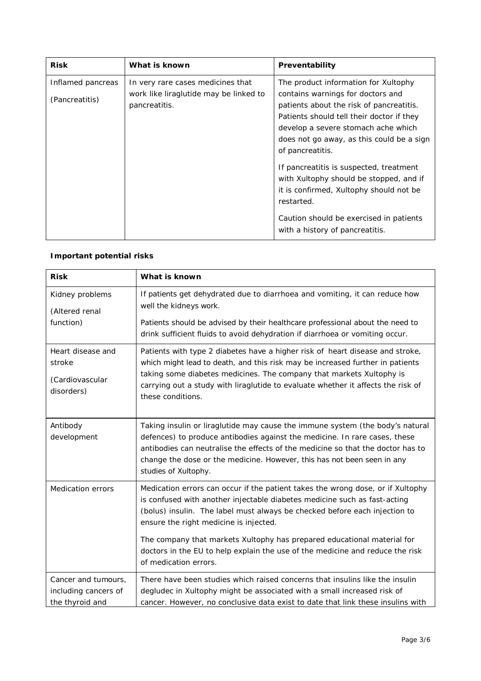| <b>Risk</b>                         | What is known                                                                                | Preventability                                                                                                                                                                                                                                                             |
|-------------------------------------|----------------------------------------------------------------------------------------------|----------------------------------------------------------------------------------------------------------------------------------------------------------------------------------------------------------------------------------------------------------------------------|
| Inflamed pancreas<br>(Pancreatitis) | In very rare cases medicines that<br>work like liraglutide may be linked to<br>pancreatitis. | The product information for Xultophy<br>contains warnings for doctors and<br>patients about the risk of pancreatitis.<br>Patients should tell their doctor if they<br>develop a severe stomach ache which<br>does not go away, as this could be a sign<br>of pancreatitis. |
|                                     |                                                                                              | If pancreatitis is suspected, treatment<br>with Xultophy should be stopped, and if<br>it is confirmed, Xultophy should not be<br>restarted.<br>Caution should be exercised in patients<br>with a history of pancreatitis.                                                  |

# *Important potential risks*

| <b>Risk</b>                                                    | What is known                                                                                                                                                                                                                                                                                                                                                   |
|----------------------------------------------------------------|-----------------------------------------------------------------------------------------------------------------------------------------------------------------------------------------------------------------------------------------------------------------------------------------------------------------------------------------------------------------|
| Kidney problems<br>(Altered renal<br>function)                 | If patients get dehydrated due to diarrhoea and vomiting, it can reduce how<br>well the kidneys work.                                                                                                                                                                                                                                                           |
|                                                                | Patients should be advised by their healthcare professional about the need to<br>drink sufficient fluids to avoid dehydration if diarrhoea or vomiting occur.                                                                                                                                                                                                   |
| Heart disease and<br>stroke<br>(Cardiovascular<br>disorders)   | Patients with type 2 diabetes have a higher risk of heart disease and stroke,<br>which might lead to death, and this risk may be increased further in patients<br>taking some diabetes medicines. The company that markets Xultophy is<br>carrying out a study with liraglutide to evaluate whether it affects the risk of<br>these conditions.                 |
| Antibody<br>development                                        | Taking insulin or liraglutide may cause the immune system (the body's natural<br>defences) to produce antibodies against the medicine. In rare cases, these<br>antibodies can neutralise the effects of the medicine so that the doctor has to<br>change the dose or the medicine. However, this has not been seen in any<br>studies of Xultophy.               |
| <b>Medication errors</b>                                       | Medication errors can occur if the patient takes the wrong dose, or if Xultophy<br>is confused with another injectable diabetes medicine such as fast-acting<br>(bolus) insulin. The label must always be checked before each injection to<br>ensure the right medicine is injected.<br>The company that markets Xultophy has prepared educational material for |
|                                                                | doctors in the EU to help explain the use of the medicine and reduce the risk<br>of medication errors.                                                                                                                                                                                                                                                          |
| Cancer and tumours,<br>including cancers of<br>the thyroid and | There have been studies which raised concerns that insulins like the insulin<br>degludec in Xultophy might be associated with a small increased risk of<br>cancer. However, no conclusive data exist to date that link these insulins with                                                                                                                      |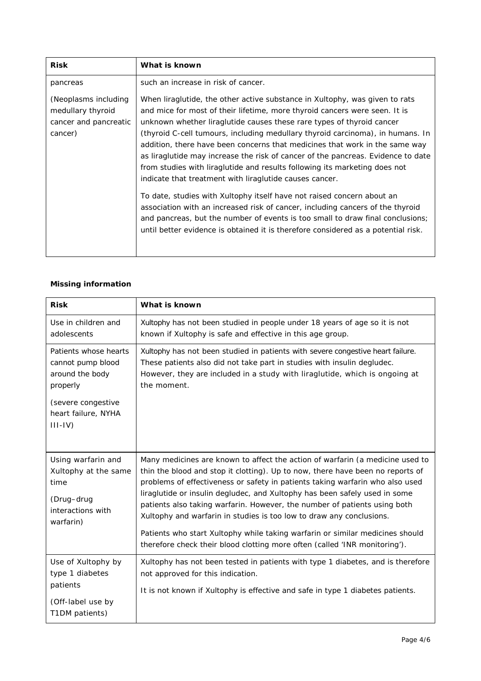| <b>Risk</b>                                                                   | What is known                                                                                                                                                                                                                                                                                                                                                                                                                                                                                                                                                                                                                                                                                                                                                                                                                                                                                                                                                       |
|-------------------------------------------------------------------------------|---------------------------------------------------------------------------------------------------------------------------------------------------------------------------------------------------------------------------------------------------------------------------------------------------------------------------------------------------------------------------------------------------------------------------------------------------------------------------------------------------------------------------------------------------------------------------------------------------------------------------------------------------------------------------------------------------------------------------------------------------------------------------------------------------------------------------------------------------------------------------------------------------------------------------------------------------------------------|
| pancreas                                                                      | such an increase in risk of cancer.                                                                                                                                                                                                                                                                                                                                                                                                                                                                                                                                                                                                                                                                                                                                                                                                                                                                                                                                 |
| (Neoplasms including<br>medullary thyroid<br>cancer and pancreatic<br>cancer) | When liraglutide, the other active substance in Xultophy, was given to rats<br>and mice for most of their lifetime, more thyroid cancers were seen. It is<br>unknown whether liraglutide causes these rare types of thyroid cancer<br>(thyroid C-cell tumours, including medullary thyroid carcinoma), in humans. In<br>addition, there have been concerns that medicines that work in the same way<br>as liraglutide may increase the risk of cancer of the pancreas. Evidence to date<br>from studies with liraglutide and results following its marketing does not<br>indicate that treatment with liraglutide causes cancer.<br>To date, studies with Xultophy itself have not raised concern about an<br>association with an increased risk of cancer, including cancers of the thyroid<br>and pancreas, but the number of events is too small to draw final conclusions;<br>until better evidence is obtained it is therefore considered as a potential risk. |

#### *Missing information*

| <b>Risk</b>                                                                                        | What is known                                                                                                                                                                                                                                                                                                                                                                                                                                                                                                                                                                                                                                      |
|----------------------------------------------------------------------------------------------------|----------------------------------------------------------------------------------------------------------------------------------------------------------------------------------------------------------------------------------------------------------------------------------------------------------------------------------------------------------------------------------------------------------------------------------------------------------------------------------------------------------------------------------------------------------------------------------------------------------------------------------------------------|
| Use in children and<br>adolescents                                                                 | Xultophy has not been studied in people under 18 years of age so it is not<br>known if Xultophy is safe and effective in this age group.                                                                                                                                                                                                                                                                                                                                                                                                                                                                                                           |
| Patients whose hearts<br>cannot pump blood<br>around the body<br>properly                          | Xultophy has not been studied in patients with severe congestive heart failure.<br>These patients also did not take part in studies with insulin degludec.<br>However, they are included in a study with liraglutide, which is ongoing at<br>the moment.                                                                                                                                                                                                                                                                                                                                                                                           |
| (severe congestive<br>heart failure, NYHA<br>$III - IV)$                                           |                                                                                                                                                                                                                                                                                                                                                                                                                                                                                                                                                                                                                                                    |
| Using warfarin and<br>Xultophy at the same<br>time<br>(Drug-drug<br>interactions with<br>warfarin) | Many medicines are known to affect the action of warfarin (a medicine used to<br>thin the blood and stop it clotting). Up to now, there have been no reports of<br>problems of effectiveness or safety in patients taking warfarin who also used<br>liraglutide or insulin degludec, and Xultophy has been safely used in some<br>patients also taking warfarin. However, the number of patients using both<br>Xultophy and warfarin in studies is too low to draw any conclusions.<br>Patients who start Xultophy while taking warfarin or similar medicines should<br>therefore check their blood clotting more often (called 'INR monitoring'). |
| Use of Xultophy by<br>type 1 diabetes<br>patients<br>(Off-label use by<br>T1DM patients)           | Xultophy has not been tested in patients with type 1 diabetes, and is therefore<br>not approved for this indication.<br>It is not known if Xultophy is effective and safe in type 1 diabetes patients.                                                                                                                                                                                                                                                                                                                                                                                                                                             |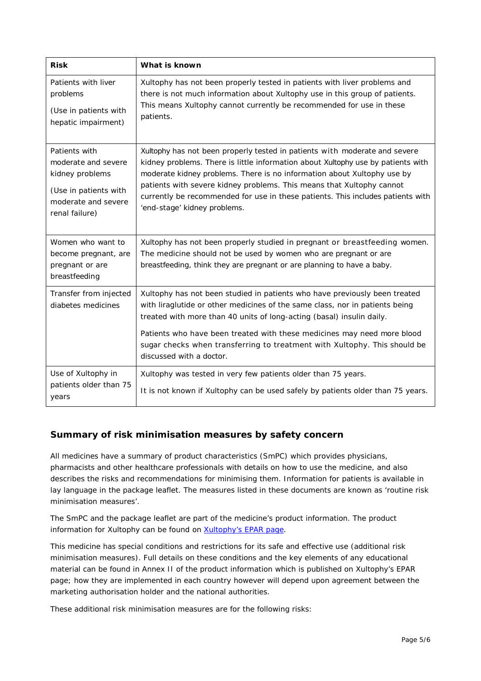| <b>Risk</b>                                                                   | What is known                                                                                                                                                                                                                                                                                                                                                                               |
|-------------------------------------------------------------------------------|---------------------------------------------------------------------------------------------------------------------------------------------------------------------------------------------------------------------------------------------------------------------------------------------------------------------------------------------------------------------------------------------|
| Patients with liver                                                           | Xultophy has not been properly tested in patients with liver problems and                                                                                                                                                                                                                                                                                                                   |
| problems                                                                      | there is not much information about Xultophy use in this group of patients.                                                                                                                                                                                                                                                                                                                 |
| (Use in patients with                                                         | This means Xultophy cannot currently be recommended for use in these                                                                                                                                                                                                                                                                                                                        |
| hepatic impairment)                                                           | patients.                                                                                                                                                                                                                                                                                                                                                                                   |
| Patients with                                                                 | Xultophy has not been properly tested in patients with moderate and severe                                                                                                                                                                                                                                                                                                                  |
| moderate and severe                                                           | kidney problems. There is little information about Xultophy use by patients with                                                                                                                                                                                                                                                                                                            |
| kidney problems                                                               | moderate kidney problems. There is no information about Xultophy use by                                                                                                                                                                                                                                                                                                                     |
| (Use in patients with                                                         | patients with severe kidney problems. This means that Xultophy cannot                                                                                                                                                                                                                                                                                                                       |
| moderate and severe                                                           | currently be recommended for use in these patients. This includes patients with                                                                                                                                                                                                                                                                                                             |
| renal failure)                                                                | 'end-stage' kidney problems.                                                                                                                                                                                                                                                                                                                                                                |
| Women who want to<br>become pregnant, are<br>pregnant or are<br>breastfeeding | Xultophy has not been properly studied in pregnant or breastfeeding women.<br>The medicine should not be used by women who are pregnant or are<br>breastfeeding, think they are pregnant or are planning to have a baby.                                                                                                                                                                    |
| Transfer from injected<br>diabetes medicines                                  | Xultophy has not been studied in patients who have previously been treated<br>with liraglutide or other medicines of the same class, nor in patients being<br>treated with more than 40 units of long-acting (basal) insulin daily.<br>Patients who have been treated with these medicines may need more blood<br>sugar checks when transferring to treatment with Xultophy. This should be |
| Use of Xultophy in                                                            | discussed with a doctor.                                                                                                                                                                                                                                                                                                                                                                    |
| patients older than 75                                                        | Xultophy was tested in very few patients older than 75 years.                                                                                                                                                                                                                                                                                                                               |
| years                                                                         | It is not known if Xultophy can be used safely by patients older than 75 years.                                                                                                                                                                                                                                                                                                             |

# **Summary of risk minimisation measures by safety concern**

All medicines have a summary of product characteristics (SmPC) which provides physicians, pharmacists and other healthcare professionals with details on how to use the medicine, and also describes the risks and recommendations for minimising them. Information for patients is available in lay language in the package leaflet. The measures listed in these documents are known as 'routine risk minimisation measures'.

The SmPC and the package leaflet are part of the medicine's product information. The product information for Xultophy can be found on [Xultophy's EPAR page.](http://www.ema.europa.eu/ema/index.jsp?curl=/pages/medicines/human/medicines/002647/human_med_001802.jsp)

This medicine has special conditions and restrictions for its safe and effective use (additional risk minimisation measures). Full details on these conditions and the key elements of any educational material can be found in Annex II of the product information which is published on Xultophy's EPAR page; how they are implemented in each country however will depend upon agreement between the marketing authorisation holder and the national authorities.

These additional risk minimisation measures are for the following risks: